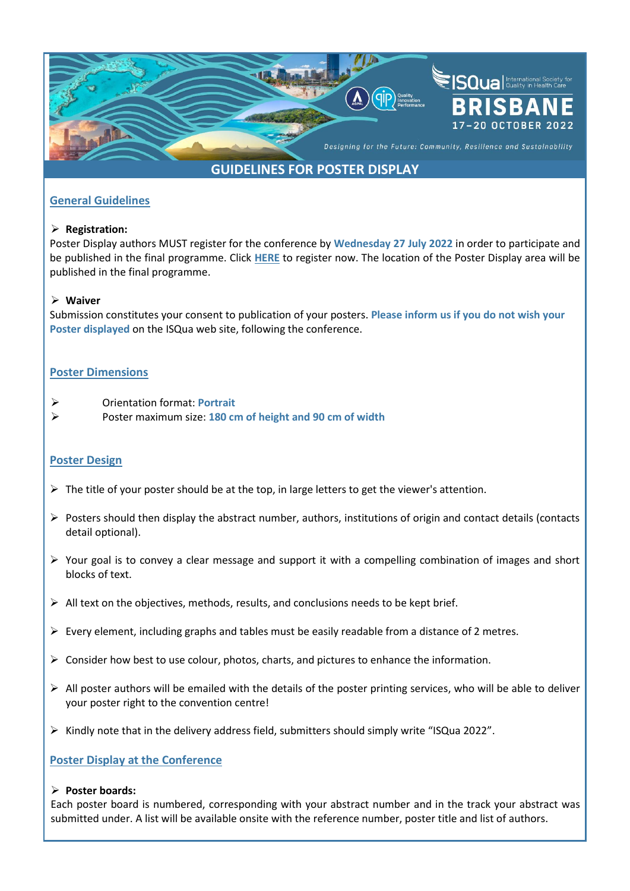

# **GUIDELINES FOR POSTER DISPLAY**

## **General Guidelines**

#### ➢ **Registration:**

Poster Display authors MUST register for the conference by **Wednesday 27 July 2022** in order to participate and be published in the final programme. Click **[HERE](https://b-com.mci-group.com/EventPortal/Information/ISQUA2022/WELCOME.aspxhttps:/b-com.mci-group.com/EventPortal/Information/ISQUA2022/WELCOME.aspx)** to register now. The location of the Poster Display area will be published in the final programme.

#### ➢ **Waiver**

Submission constitutes your consent to publication of your posters. **Please inform us if you do not wish your Poster displayed** on the ISQua web site, following the conference.

## **Poster Dimensions**

- ➢ Orientation format: **Portrait**
- ➢ Poster maximum size: **180 cm of height and 90 cm of width**

### **Poster Design**

- $\triangleright$  The title of your poster should be at the top, in large letters to get the viewer's attention.
- ➢ Posters should then display the abstract number, authors, institutions of origin and contact details (contacts detail optional).
- ➢ Your goal is to convey a clear message and support it with a compelling combination of images and short blocks of text.
- ➢ All text on the objectives, methods, results, and conclusions needs to be kept brief.
- $\triangleright$  Every element, including graphs and tables must be easily readable from a distance of 2 metres.
- $\triangleright$  Consider how best to use colour, photos, charts, and pictures to enhance the information.
- $\triangleright$  All poster authors will be emailed with the details of the poster printing services, who will be able to deliver your poster right to the convention centre!
- $\triangleright$  Kindly note that in the delivery address field, submitters should simply write "ISQua 2022".

### **Poster Display at the Conference**

#### ➢ **Poster boards:**

Each poster board is numbered, corresponding with your abstract number and in the track your abstract was submitted under. A list will be available onsite with the reference number, poster title and list of authors.